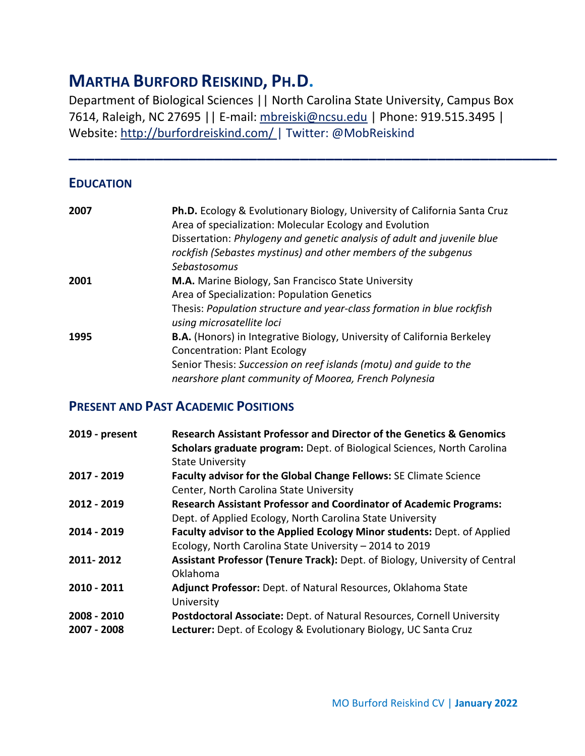# **MARTHA BURFORD REISKIND, PH.D.**

Department of Biological Sciences || North Carolina State University, Campus Box 7614, Raleigh, NC 27695 || E-mail: [mbreiski@ncsu.edu](mailto:mbreiski@ncsu.edu) | Phone: 919.515.3495 | Website:<http://burfordreiskind.com/> | Twitter: @MobReiskind

**\_\_\_\_\_\_\_\_\_\_\_\_\_\_\_\_\_\_\_\_\_\_\_\_\_\_\_\_\_\_\_\_\_\_\_\_\_\_\_\_\_\_\_\_\_\_\_\_\_\_\_\_\_\_\_\_\_**

## **EDUCATION**

| 2007 | Ph.D. Ecology & Evolutionary Biology, University of California Santa Cruz                           |
|------|-----------------------------------------------------------------------------------------------------|
|      | Area of specialization: Molecular Ecology and Evolution                                             |
|      | Dissertation: Phylogeny and genetic analysis of adult and juvenile blue                             |
|      | rockfish (Sebastes mystinus) and other members of the subgenus                                      |
|      | Sebastosomus                                                                                        |
| 2001 | M.A. Marine Biology, San Francisco State University                                                 |
|      | Area of Specialization: Population Genetics                                                         |
|      | Thesis: Population structure and year-class formation in blue rockfish<br>using microsatellite loci |
| 1995 | <b>B.A.</b> (Honors) in Integrative Biology, University of California Berkeley                      |
|      | <b>Concentration: Plant Ecology</b>                                                                 |
|      | Senior Thesis: Succession on reef islands (motu) and guide to the                                   |
|      | nearshore plant community of Moorea, French Polynesia                                               |

## **PRESENT AND PAST ACADEMIC POSITIONS**

| 2019 - present             | Research Assistant Professor and Director of the Genetics & Genomics<br>Scholars graduate program: Dept. of Biological Sciences, North Carolina<br><b>State University</b> |
|----------------------------|----------------------------------------------------------------------------------------------------------------------------------------------------------------------------|
| 2017 - 2019                | Faculty advisor for the Global Change Fellows: SE Climate Science<br>Center, North Carolina State University                                                               |
| 2012 - 2019                | <b>Research Assistant Professor and Coordinator of Academic Programs:</b><br>Dept. of Applied Ecology, North Carolina State University                                     |
| 2014 - 2019                | Faculty advisor to the Applied Ecology Minor students: Dept. of Applied<br>Ecology, North Carolina State University - 2014 to 2019                                         |
| 2011-2012                  | Assistant Professor (Tenure Track): Dept. of Biology, University of Central<br>Oklahoma                                                                                    |
| 2010 - 2011                | Adjunct Professor: Dept. of Natural Resources, Oklahoma State<br>University                                                                                                |
| 2008 - 2010<br>2007 - 2008 | Postdoctoral Associate: Dept. of Natural Resources, Cornell University<br>Lecturer: Dept. of Ecology & Evolutionary Biology, UC Santa Cruz                                 |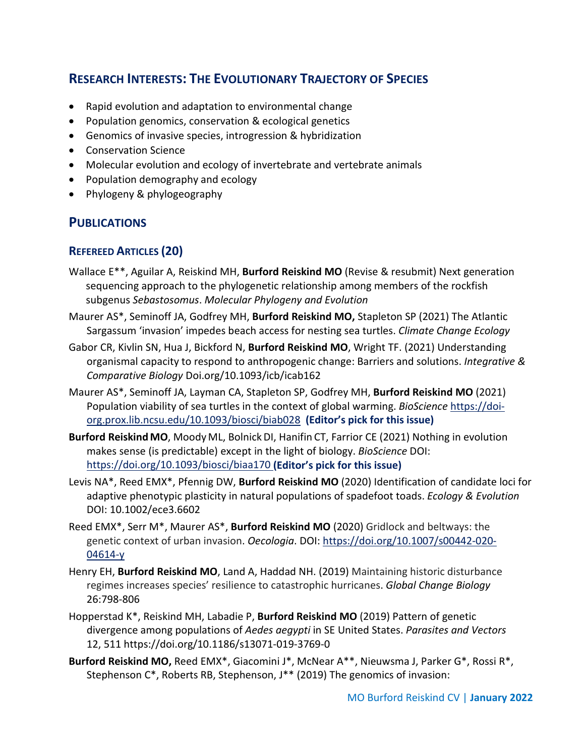## **RESEARCH INTERESTS: THE EVOLUTIONARY TRAJECTORY OF SPECIES**

- Rapid evolution and adaptation to environmental change
- Population genomics, conservation & ecological genetics
- Genomics of invasive species, introgression & hybridization
- Conservation Science
- Molecular evolution and ecology of invertebrate and vertebrate animals
- Population demography and ecology
- Phylogeny & phylogeography

## **PUBLICATIONS**

## **REFEREED ARTICLES (20)**

- Wallace E\*\*, Aguilar A, Reiskind MH, **Burford Reiskind MO** (Revise & resubmit) Next generation sequencing approach to the phylogenetic relationship among members of the rockfish subgenus *Sebastosomus*. *Molecular Phylogeny and Evolution*
- Maurer AS\*, Seminoff JA, Godfrey MH, **Burford Reiskind MO,** Stapleton SP (2021) The Atlantic Sargassum 'invasion' impedes beach access for nesting sea turtles. *Climate Change Ecology*
- Gabor CR, Kivlin SN, Hua J, Bickford N, **Burford Reiskind MO**, Wright TF. (2021) Understanding organismal capacity to respond to anthropogenic change: Barriers and solutions. *Integrative & Comparative Biology* Doi.org/10.1093/icb/icab162
- Maurer AS\*, Seminoff JA, Layman CA, Stapleton SP, Godfrey MH, **Burford Reiskind MO** (2021) Population viability of sea turtles in the context of global warming. *BioScience* [https://doi](https://doi-org.prox.lib.ncsu.edu/10.1093/biosci/biab028)[org.prox.lib.ncsu.edu/10.1093/biosci/biab028](https://doi-org.prox.lib.ncsu.edu/10.1093/biosci/biab028) **(Editor's pick for this issue)**
- **Burford Reiskind MO**, Moody ML, BolnickDI, Hanifin CT, Farrior CE (2021) Nothing in evolution makes sense (is predictable) except in the light of biology. *BioScience* DOI: <https://doi.org/10.1093/biosci/biaa170> **(Editor's pick for this issue)**
- Levis NA\*, Reed EMX\*, Pfennig DW, **Burford Reiskind MO** (2020) Identification of candidate loci for adaptive phenotypic plasticity in natural populations of spadefoot toads. *Ecology & Evolution* DOI: 10.1002/ece3.6602
- Reed EMX\*, Serr M\*, Maurer AS\*, **Burford Reiskind MO** (2020) Gridlock and beltways: the genetic context of urban invasion. *Oecologia*. DOI: [https://doi.org/10.1007/s00442-020-](https://doi.org/10.1007/s00442-020-04614-y) [04614-y](https://doi.org/10.1007/s00442-020-04614-y)
- Henry EH, **Burford Reiskind MO**, Land A, Haddad NH. (2019) Maintaining historic disturbance regimes increases species' resilience to catastrophic hurricanes. *Global Change Biology* 26:798-806
- Hopperstad K\*, Reiskind MH, Labadie P, **Burford Reiskind MO** (2019) Pattern of genetic divergence among populations of *Aedes aegypti* in SE United States. *Parasites and Vectors* 12, 511 https://doi.org/10.1186/s13071-019-3769-0
- **Burford Reiskind MO,** Reed EMX\*, Giacomini J\*, McNear A\*\*, Nieuwsma J, Parker G\*, Rossi R\*, Stephenson C\*, Roberts RB, Stephenson, J\*\* (2019) The genomics of invasion: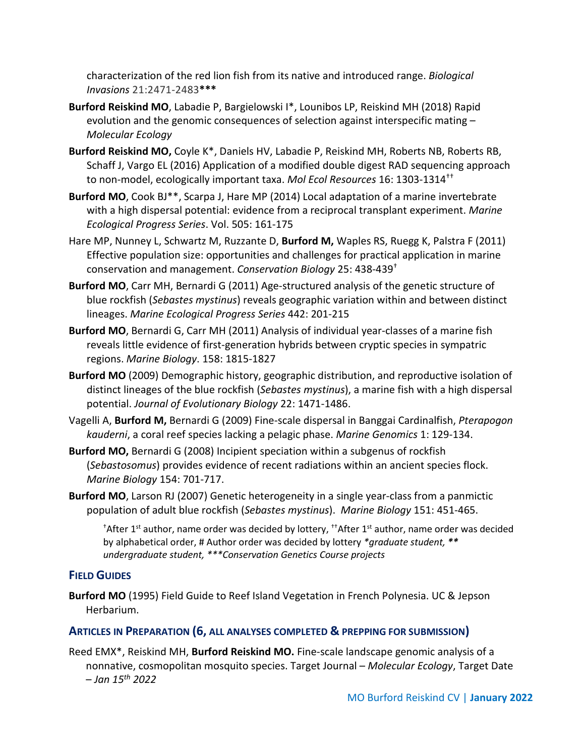characterization of the red lion fish from its native and introduced range. *Biological Invasions* 21:2471-2483**\*\*\***

- **Burford Reiskind MO**, Labadie P, Bargielowski I\*, Lounibos LP, Reiskind MH (2018) Rapid evolution and the genomic consequences of selection against interspecific mating – *Molecular Ecology*
- **Burford Reiskind MO,** Coyle K\*, Daniels HV, Labadie P, Reiskind MH, Roberts NB, Roberts RB, Schaff J, Vargo EL (2016) Application of a modified double digest RAD sequencing approach to non-model, ecologically important taxa. *Mol Ecol Resources* 16: 1303-1314††
- **Burford MO**, Cook BJ\*\*, Scarpa J, Hare MP (2014) Local adaptation of a marine invertebrate with a high dispersal potential: evidence from a reciprocal transplant experiment. *Marine Ecological Progress Series*. Vol. 505: 161-175
- Hare MP, Nunney L, Schwartz M, Ruzzante D, **Burford M,** Waples RS, Ruegg K, Palstra F (2011) Effective population size: opportunities and challenges for practical application in marine conservation and management. *Conservation Biology* 25: 438-439†
- **Burford MO**, Carr MH, Bernardi G (2011) Age-structured analysis of the genetic structure of blue rockfish (*Sebastes mystinus*) reveals geographic variation within and between distinct lineages. *Marine Ecological Progress Series* 442: 201-215
- **Burford MO**, Bernardi G, Carr MH (2011) Analysis of individual year-classes of a marine fish reveals little evidence of first-generation hybrids between cryptic species in sympatric regions. *Marine Biology*. 158: 1815-1827
- **Burford MO** (2009) Demographic history, geographic distribution, and reproductive isolation of distinct lineages of the blue rockfish (*Sebastes mystinus*), a marine fish with a high dispersal potential. *Journal of Evolutionary Biology* 22: 1471-1486.
- Vagelli A, **Burford M,** Bernardi G (2009) Fine-scale dispersal in Banggai Cardinalfish, *Pterapogon kauderni*, a coral reef species lacking a pelagic phase. *Marine Genomics* 1: 129-134.
- **Burford MO,** Bernardi G (2008) Incipient speciation within a subgenus of rockfish (*Sebastosomus*) provides evidence of recent radiations within an ancient species flock. *Marine Biology* 154: 701-717.
- **Burford MO**, Larson RJ (2007) Genetic heterogeneity in a single year-class from a panmictic population of adult blue rockfish (*Sebastes mystinus*). *Marine Biology* 151: 451-465.

<sup>†</sup>After 1<sup>st</sup> author, name order was decided by lottery, <sup>††</sup>After 1<sup>st</sup> author, name order was decided by alphabetical order, # Author order was decided by lottery *\*graduate student, \*\* undergraduate student, \*\*\*Conservation Genetics Course projects*

## **FIELD GUIDES**

**Burford MO** (1995) Field Guide to Reef Island Vegetation in French Polynesia. UC & Jepson Herbarium.

#### **ARTICLES IN PREPARATION (6, ALL ANALYSES COMPLETED & PREPPING FOR SUBMISSION)**

Reed EMX\*, Reiskind MH, **Burford Reiskind MO.** Fine-scale landscape genomic analysis of a nonnative, cosmopolitan mosquito species. Target Journal – *Molecular Ecology*, Target Date – *Jan 15th 2022*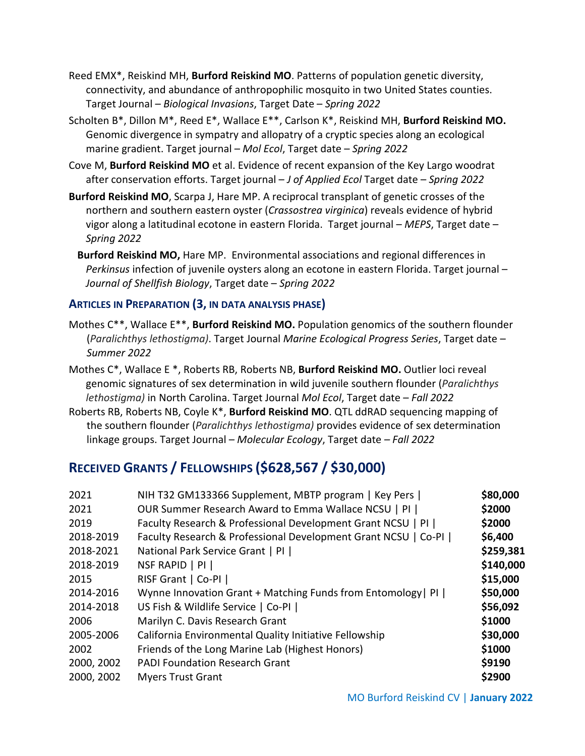- Reed EMX\*, Reiskind MH, **Burford Reiskind MO**. Patterns of population genetic diversity, connectivity, and abundance of anthropophilic mosquito in two United States counties. Target Journal – *Biological Invasions*, Target Date – *Spring 2022*
- Scholten B\*, Dillon M\*, Reed E\*, Wallace E\*\*, Carlson K\*, Reiskind MH, **Burford Reiskind MO.**  Genomic divergence in sympatry and allopatry of a cryptic species along an ecological marine gradient. Target journal – *Mol Ecol*, Target date – *Spring 2022*
- Cove M, **Burford Reiskind MO** et al. Evidence of recent expansion of the Key Largo woodrat after conservation efforts. Target journal – *J of Applied Ecol* Target date – *Spring 2022*
- **Burford Reiskind MO**, Scarpa J, Hare MP. A reciprocal transplant of genetic crosses of the northern and southern eastern oyster (*Crassostrea virginica*) reveals evidence of hybrid vigor along a latitudinal ecotone in eastern Florida. Target journal – *MEPS*, Target date – *Spring 2022*
	- **Burford Reiskind MO,** Hare MP. Environmental associations and regional differences in *Perkinsus* infection of juvenile oysters along an ecotone in eastern Florida. Target journal – *Journal of Shellfish Biology*, Target date – *Spring 2022*

#### **ARTICLES IN PREPARATION (3, IN DATA ANALYSIS PHASE)**

Mothes C\*\*, Wallace E\*\*, **Burford Reiskind MO.** Population genomics of the southern flounder (*Paralichthys lethostigma)*. Target Journal *Marine Ecological Progress Series*, Target date – *Summer 2022*

Mothes C\*, Wallace E \*, Roberts RB, Roberts NB, **Burford Reiskind MO.** Outlier loci reveal genomic signatures of sex determination in wild juvenile southern flounder (*Paralichthys lethostigma)* in North Carolina. Target Journal *Mol Ecol*, Target date – *Fall 2022*

Roberts RB, Roberts NB, Coyle K\*, **Burford Reiskind MO**. QTL ddRAD sequencing mapping of the southern flounder (*Paralichthys lethostigma)* provides evidence of sex determination linkage groups. Target Journal – *Molecular Ecology*, Target date *– Fall 2022*

## **RECEIVED GRANTS / FELLOWSHIPS (\$628,567 / \$30,000)**

| 2018-2021<br>National Park Service Grant   PI  <br>NSF RAPID   PI  <br>2018-2019<br>RISF Grant   Co-PI  <br>2015<br>Wynne Innovation Grant + Matching Funds from Entomology   PI  <br>2014-2016<br>2014-2018<br>US Fish & Wildlife Service   Co-PI  <br>Marilyn C. Davis Research Grant<br>2006<br>2005-2006<br>California Environmental Quality Initiative Fellowship<br>Friends of the Long Marine Lab (Highest Honors)<br>2002<br><b>PADI Foundation Research Grant</b><br>2000, 2002<br>2000, 2002<br><b>Myers Trust Grant</b> | 2021<br>2021<br>2019<br>2018-2019 | NIH T32 GM133366 Supplement, MBTP program   Key Pers  <br>OUR Summer Research Award to Emma Wallace NCSU   PI  <br>Faculty Research & Professional Development Grant NCSU   PI  <br>Faculty Research & Professional Development Grant NCSU   Co-PI | \$80,000<br>\$2000<br>\$2000<br>\$6,400<br>\$259,381<br>\$140,000<br>\$15,000<br>\$50,000<br>\$56,092<br>\$1000<br>\$30,000<br>\$1000<br>\$9190<br>\$2900 |
|------------------------------------------------------------------------------------------------------------------------------------------------------------------------------------------------------------------------------------------------------------------------------------------------------------------------------------------------------------------------------------------------------------------------------------------------------------------------------------------------------------------------------------|-----------------------------------|----------------------------------------------------------------------------------------------------------------------------------------------------------------------------------------------------------------------------------------------------|-----------------------------------------------------------------------------------------------------------------------------------------------------------|
|------------------------------------------------------------------------------------------------------------------------------------------------------------------------------------------------------------------------------------------------------------------------------------------------------------------------------------------------------------------------------------------------------------------------------------------------------------------------------------------------------------------------------------|-----------------------------------|----------------------------------------------------------------------------------------------------------------------------------------------------------------------------------------------------------------------------------------------------|-----------------------------------------------------------------------------------------------------------------------------------------------------------|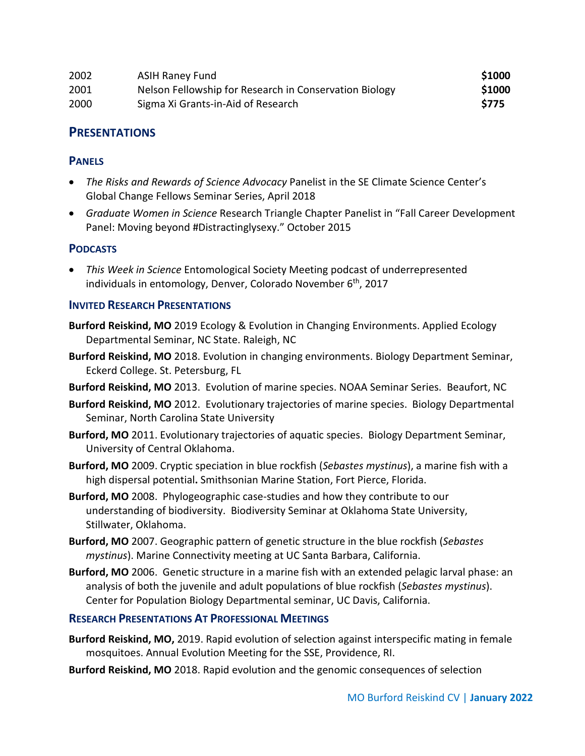| 2002 | <b>ASIH Raney Fund</b>                                 | \$1000      |
|------|--------------------------------------------------------|-------------|
| 2001 | Nelson Fellowship for Research in Conservation Biology | \$1000      |
| 2000 | Sigma Xi Grants-in-Aid of Research                     | <b>S775</b> |

## **PRESENTATIONS**

#### **PANELS**

- *The Risks and Rewards of Science Advocacy* Panelist in the SE Climate Science Center's Global Change Fellows Seminar Series, April 2018
- *Graduate Women in Science* Research Triangle Chapter Panelist in "Fall Career Development Panel: Moving beyond #Distractinglysexy." October 2015

#### **PODCASTS**

• *This Week in Science* Entomological Society Meeting podcast of underrepresented individuals in entomology, Denver, Colorado November 6<sup>th</sup>, 2017

#### **INVITED RESEARCH PRESENTATIONS**

- **Burford Reiskind, MO** 2019 Ecology & Evolution in Changing Environments. Applied Ecology Departmental Seminar, NC State. Raleigh, NC
- **Burford Reiskind, MO** 2018. Evolution in changing environments. Biology Department Seminar, Eckerd College. St. Petersburg, FL
- **Burford Reiskind, MO** 2013. Evolution of marine species. NOAA Seminar Series. Beaufort, NC
- **Burford Reiskind, MO** 2012. Evolutionary trajectories of marine species. Biology Departmental Seminar, North Carolina State University
- **Burford, MO** 2011. Evolutionary trajectories of aquatic species. Biology Department Seminar, University of Central Oklahoma.
- **Burford, MO** 2009. Cryptic speciation in blue rockfish (*Sebastes mystinus*), a marine fish with a high dispersal potential**.** Smithsonian Marine Station, Fort Pierce, Florida.
- **Burford, MO** 2008. Phylogeographic case-studies and how they contribute to our understanding of biodiversity. Biodiversity Seminar at Oklahoma State University, Stillwater, Oklahoma.
- **Burford, MO** 2007. Geographic pattern of genetic structure in the blue rockfish (*Sebastes mystinus*). Marine Connectivity meeting at UC Santa Barbara, California.
- **Burford, MO** 2006. Genetic structure in a marine fish with an extended pelagic larval phase: an analysis of both the juvenile and adult populations of blue rockfish (*Sebastes mystinus*). Center for Population Biology Departmental seminar, UC Davis, California.

#### **RESEARCH PRESENTATIONS AT PROFESSIONAL MEETINGS**

- **Burford Reiskind, MO,** 2019. Rapid evolution of selection against interspecific mating in female mosquitoes. Annual Evolution Meeting for the SSE, Providence, RI.
- **Burford Reiskind, MO** 2018. Rapid evolution and the genomic consequences of selection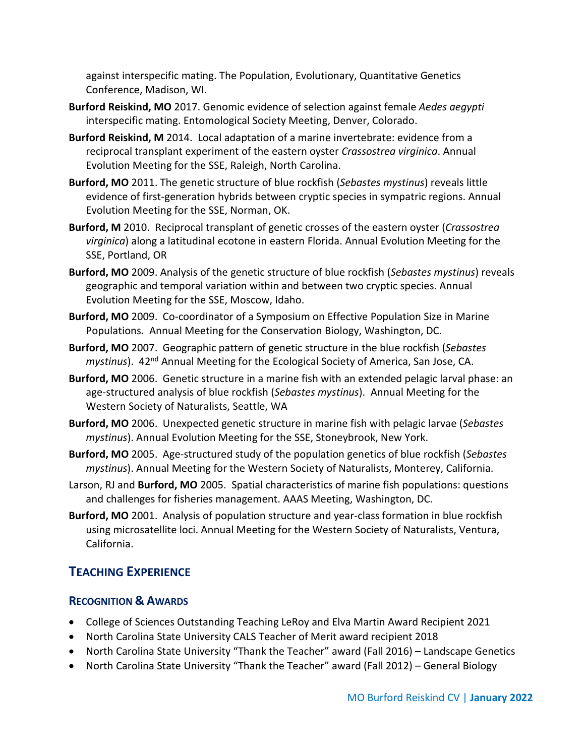against interspecific mating. The Population, Evolutionary, Quantitative Genetics Conference, Madison, WI.

- **Burford Reiskind, MO** 2017. Genomic evidence of selection against female *Aedes aegypti* interspecific mating. Entomological Society Meeting, Denver, Colorado.
- **Burford Reiskind, M** 2014.Local adaptation of a marine invertebrate: evidence from a reciprocal transplant experiment of the eastern oyster *Crassostrea virginica*. Annual Evolution Meeting for the SSE, Raleigh, North Carolina.
- **Burford, MO** 2011. The genetic structure of blue rockfish (*Sebastes mystinus*) reveals little evidence of first-generation hybrids between cryptic species in sympatric regions. Annual Evolution Meeting for the SSE, Norman, OK.
- **Burford, M** 2010. Reciprocal transplant of genetic crosses of the eastern oyster (*Crassostrea virginica*) along a latitudinal ecotone in eastern Florida. Annual Evolution Meeting for the SSE, Portland, OR
- **Burford, MO** 2009. Analysis of the genetic structure of blue rockfish (*Sebastes mystinus*) reveals geographic and temporal variation within and between two cryptic species. Annual Evolution Meeting for the SSE, Moscow, Idaho.
- **Burford, MO** 2009. Co-coordinator of a Symposium on Effective Population Size in Marine Populations. Annual Meeting for the Conservation Biology, Washington, DC.
- **Burford, MO** 2007. Geographic pattern of genetic structure in the blue rockfish (*Sebastes mystinus*). 42nd Annual Meeting for the Ecological Society of America, San Jose, CA.
- **Burford, MO** 2006. Genetic structure in a marine fish with an extended pelagic larval phase: an age-structured analysis of blue rockfish (*Sebastes mystinus*). Annual Meeting for the Western Society of Naturalists, Seattle, WA
- **Burford, MO** 2006. Unexpected genetic structure in marine fish with pelagic larvae (*Sebastes mystinus*). Annual Evolution Meeting for the SSE, Stoneybrook, New York.
- **Burford, MO** 2005. Age-structured study of the population genetics of blue rockfish (*Sebastes mystinus*). Annual Meeting for the Western Society of Naturalists, Monterey, California.
- Larson, RJ and **Burford, MO** 2005. Spatial characteristics of marine fish populations: questions and challenges for fisheries management. AAAS Meeting, Washington, DC.
- **Burford, MO** 2001. Analysis of population structure and year-class formation in blue rockfish using microsatellite loci. Annual Meeting for the Western Society of Naturalists, Ventura, California.

## **TEACHING EXPERIENCE**

## **RECOGNITION & AWARDS**

- College of Sciences Outstanding Teaching LeRoy and Elva Martin Award Recipient 2021
- North Carolina State University CALS Teacher of Merit award recipient 2018
- North Carolina State University "Thank the Teacher" award (Fall 2016) Landscape Genetics
- North Carolina State University "Thank the Teacher" award (Fall 2012) General Biology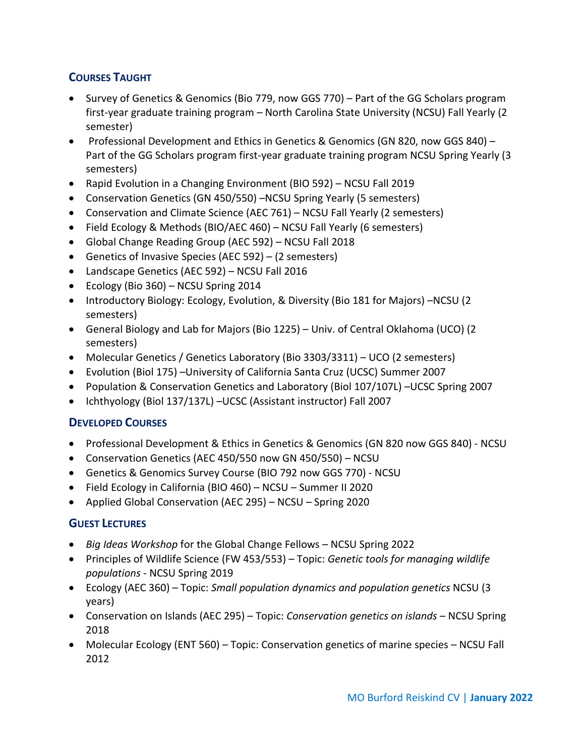## **COURSES TAUGHT**

- Survey of Genetics & Genomics (Bio 779, now GGS 770) Part of the GG Scholars program first-year graduate training program – North Carolina State University (NCSU) Fall Yearly (2 semester)
- Professional Development and Ethics in Genetics & Genomics (GN 820, now GGS 840) Part of the GG Scholars program first-year graduate training program NCSU Spring Yearly (3 semesters)
- Rapid Evolution in a Changing Environment (BIO 592) NCSU Fall 2019
- Conservation Genetics (GN 450/550) –NCSU Spring Yearly (5 semesters)
- Conservation and Climate Science (AEC 761) NCSU Fall Yearly (2 semesters)
- Field Ecology & Methods (BIO/AEC 460) NCSU Fall Yearly (6 semesters)
- Global Change Reading Group (AEC 592) NCSU Fall 2018
- Genetics of Invasive Species (AEC 592) (2 semesters)
- Landscape Genetics (AEC 592) NCSU Fall 2016
- Ecology (Bio 360) NCSU Spring 2014
- Introductory Biology: Ecology, Evolution, & Diversity (Bio 181 for Majors) –NCSU (2 semesters)
- General Biology and Lab for Majors (Bio 1225) Univ. of Central Oklahoma (UCO) (2 semesters)
- Molecular Genetics / Genetics Laboratory (Bio 3303/3311) UCO (2 semesters)
- Evolution (Biol 175) –University of California Santa Cruz (UCSC) Summer 2007
- Population & Conservation Genetics and Laboratory (Biol 107/107L) –UCSC Spring 2007
- Ichthyology (Biol 137/137L) –UCSC (Assistant instructor) Fall 2007

## **DEVELOPED COURSES**

- Professional Development & Ethics in Genetics & Genomics (GN 820 now GGS 840) NCSU
- Conservation Genetics (AEC 450/550 now GN 450/550) NCSU
- Genetics & Genomics Survey Course (BIO 792 now GGS 770) NCSU
- Field Ecology in California (BIO 460) NCSU Summer II 2020
- Applied Global Conservation (AEC 295) NCSU Spring 2020

#### **GUEST LECTURES**

- *Big Ideas Workshop* for the Global Change Fellows NCSU Spring 2022
- Principles of Wildlife Science (FW 453/553) Topic: *Genetic tools for managing wildlife populations* - NCSU Spring 2019
- Ecology (AEC 360) Topic: *Small population dynamics and population genetics* NCSU (3 years)
- Conservation on Islands (AEC 295) Topic: *Conservation genetics on islands* NCSU Spring 2018
- Molecular Ecology (ENT 560) Topic: Conservation genetics of marine species NCSU Fall 2012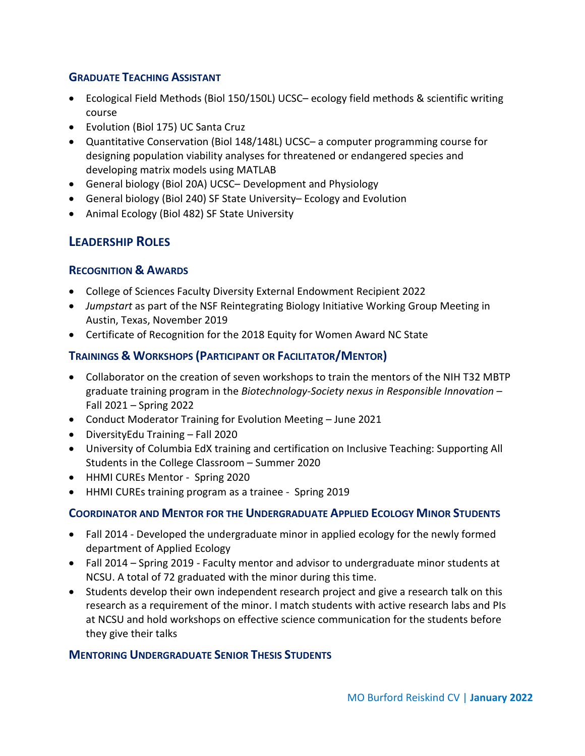## **GRADUATE TEACHING ASSISTANT**

- Ecological Field Methods (Biol 150/150L) UCSC– ecology field methods & scientific writing course
- Evolution (Biol 175) UC Santa Cruz
- Quantitative Conservation (Biol 148/148L) UCSC– a computer programming course for designing population viability analyses for threatened or endangered species and developing matrix models using MATLAB
- General biology (Biol 20A) UCSC– Development and Physiology
- General biology (Biol 240) SF State University– Ecology and Evolution
- Animal Ecology (Biol 482) SF State University

## **LEADERSHIP ROLES**

#### **RECOGNITION & AWARDS**

- College of Sciences Faculty Diversity External Endowment Recipient 2022
- *Jumpstart* as part of the NSF Reintegrating Biology Initiative Working Group Meeting in Austin, Texas, November 2019
- Certificate of Recognition for the 2018 Equity for Women Award NC State

## **TRAININGS & WORKSHOPS (PARTICIPANT OR FACILITATOR/MENTOR)**

- Collaborator on the creation of seven workshops to train the mentors of the NIH T32 MBTP graduate training program in the *Biotechnology-Society nexus in Responsible Innovation* – Fall 2021 – Spring 2022
- Conduct Moderator Training for Evolution Meeting June 2021
- DiversityEdu Training Fall 2020
- University of Columbia EdX training and certification on Inclusive Teaching: Supporting All Students in the College Classroom – Summer 2020
- HHMI CUREs Mentor Spring 2020
- HHMI CUREs training program as a trainee Spring 2019

#### **COORDINATOR AND MENTOR FOR THE UNDERGRADUATE APPLIED ECOLOGY MINOR STUDENTS**

- Fall 2014 Developed the undergraduate minor in applied ecology for the newly formed department of Applied Ecology
- Fall 2014 Spring 2019 Faculty mentor and advisor to undergraduate minor students at NCSU. A total of 72 graduated with the minor during this time.
- Students develop their own independent research project and give a research talk on this research as a requirement of the minor. I match students with active research labs and PIs at NCSU and hold workshops on effective science communication for the students before they give their talks

#### **MENTORING UNDERGRADUATE SENIOR THESIS STUDENTS**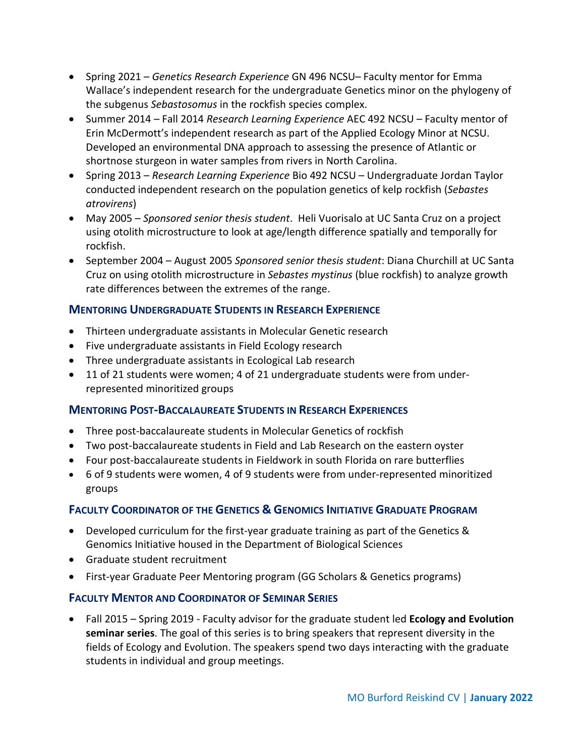- Spring 2021 *Genetics Research Experience* GN 496 NCSU– Faculty mentor for Emma Wallace's independent research for the undergraduate Genetics minor on the phylogeny of the subgenus *Sebastosomus* in the rockfish species complex.
- Summer 2014 Fall 2014 *Research Learning Experience* AEC 492 NCSU Faculty mentor of Erin McDermott's independent research as part of the Applied Ecology Minor at NCSU. Developed an environmental DNA approach to assessing the presence of Atlantic or shortnose sturgeon in water samples from rivers in North Carolina.
- Spring 2013 *Research Learning Experience* Bio 492 NCSU Undergraduate Jordan Taylor conducted independent research on the population genetics of kelp rockfish (*Sebastes atrovirens*)
- May 2005 *Sponsored senior thesis student*. Heli Vuorisalo at UC Santa Cruz on a project using otolith microstructure to look at age/length difference spatially and temporally for rockfish.
- September 2004 August 2005 *Sponsored senior thesis student*: Diana Churchill at UC Santa Cruz on using otolith microstructure in *Sebastes mystinus* (blue rockfish) to analyze growth rate differences between the extremes of the range.

## **MENTORING UNDERGRADUATE STUDENTS IN RESEARCH EXPERIENCE**

- Thirteen undergraduate assistants in Molecular Genetic research
- Five undergraduate assistants in Field Ecology research
- Three undergraduate assistants in Ecological Lab research
- 11 of 21 students were women; 4 of 21 undergraduate students were from underrepresented minoritized groups

## **MENTORING POST-BACCALAUREATE STUDENTS IN RESEARCH EXPERIENCES**

- Three post-baccalaureate students in Molecular Genetics of rockfish
- Two post-baccalaureate students in Field and Lab Research on the eastern oyster
- Four post-baccalaureate students in Fieldwork in south Florida on rare butterflies
- 6 of 9 students were women, 4 of 9 students were from under-represented minoritized groups

## **FACULTY COORDINATOR OF THE GENETICS & GENOMICS INITIATIVE GRADUATE PROGRAM**

- Developed curriculum for the first-year graduate training as part of the Genetics & Genomics Initiative housed in the Department of Biological Sciences
- Graduate student recruitment
- First-year Graduate Peer Mentoring program (GG Scholars & Genetics programs)

## **FACULTY MENTOR AND COORDINATOR OF SEMINAR SERIES**

• Fall 2015 – Spring 2019 - Faculty advisor for the graduate student led **Ecology and Evolution seminar series**. The goal of this series is to bring speakers that represent diversity in the fields of Ecology and Evolution. The speakers spend two days interacting with the graduate students in individual and group meetings.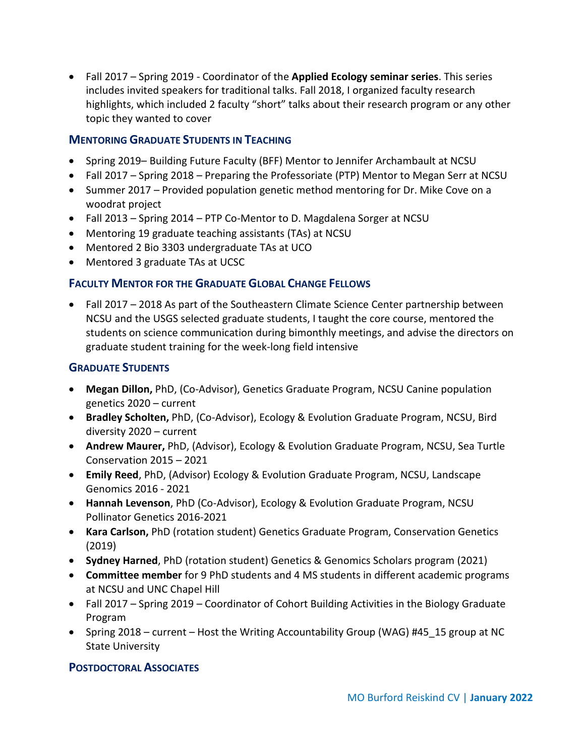• Fall 2017 – Spring 2019 - Coordinator of the **Applied Ecology seminar series**. This series includes invited speakers for traditional talks. Fall 2018, I organized faculty research highlights, which included 2 faculty "short" talks about their research program or any other topic they wanted to cover

#### **MENTORING GRADUATE STUDENTS IN TEACHING**

- Spring 2019– Building Future Faculty (BFF) Mentor to Jennifer Archambault at NCSU
- Fall 2017 Spring 2018 Preparing the Professoriate (PTP) Mentor to Megan Serr at NCSU
- Summer 2017 Provided population genetic method mentoring for Dr. Mike Cove on a woodrat project
- Fall 2013 Spring 2014 PTP Co-Mentor to D. Magdalena Sorger at NCSU
- Mentoring 19 graduate teaching assistants (TAs) at NCSU
- Mentored 2 Bio 3303 undergraduate TAs at UCO
- Mentored 3 graduate TAs at UCSC

#### **FACULTY MENTOR FOR THE GRADUATE GLOBAL CHANGE FELLOWS**

• Fall 2017 – 2018 As part of the Southeastern Climate Science Center partnership between NCSU and the USGS selected graduate students, I taught the core course, mentored the students on science communication during bimonthly meetings, and advise the directors on graduate student training for the week-long field intensive

#### **GRADUATE STUDENTS**

- **Megan Dillon,** PhD, (Co-Advisor), Genetics Graduate Program, NCSU Canine population genetics 2020 – current
- **Bradley Scholten,** PhD, (Co-Advisor), Ecology & Evolution Graduate Program, NCSU, Bird diversity 2020 – current
- **Andrew Maurer,** PhD, (Advisor), Ecology & Evolution Graduate Program, NCSU, Sea Turtle Conservation 2015 – 2021
- **Emily Reed**, PhD, (Advisor) Ecology & Evolution Graduate Program, NCSU, Landscape Genomics 2016 - 2021
- **Hannah Levenson**, PhD (Co-Advisor), Ecology & Evolution Graduate Program, NCSU Pollinator Genetics 2016-2021
- **Kara Carlson,** PhD (rotation student) Genetics Graduate Program, Conservation Genetics (2019)
- **Sydney Harned**, PhD (rotation student) Genetics & Genomics Scholars program (2021)
- **Committee member** for 9 PhD students and 4 MS students in different academic programs at NCSU and UNC Chapel Hill
- Fall 2017 Spring 2019 Coordinator of Cohort Building Activities in the Biology Graduate Program
- Spring 2018 current Host the Writing Accountability Group (WAG) #45 15 group at NC State University

#### **POSTDOCTORAL ASSOCIATES**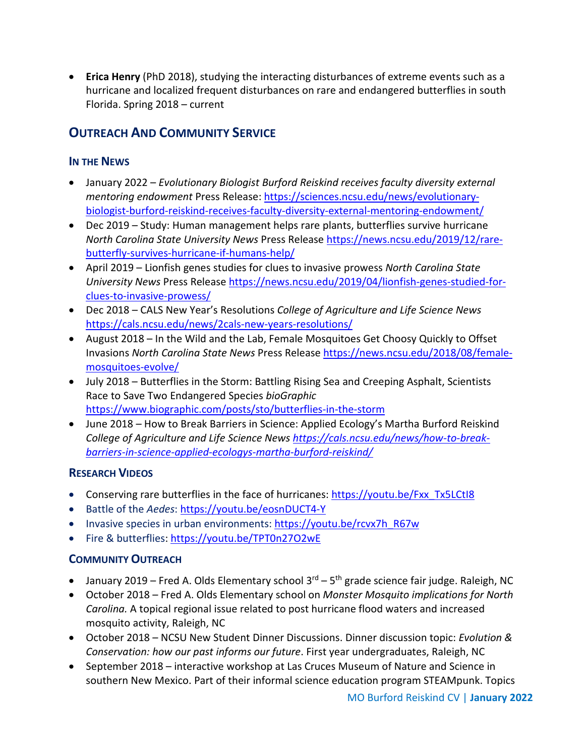• **Erica Henry** (PhD 2018), studying the interacting disturbances of extreme events such as a hurricane and localized frequent disturbances on rare and endangered butterflies in south Florida. Spring 2018 – current

## **OUTREACH AND COMMUNITY SERVICE**

## **IN THE NEWS**

- January 2022 *Evolutionary Biologist Burford Reiskind receives faculty diversity external mentoring endowment* Press Release: [https://sciences.ncsu.edu/news/evolutionary](https://sciences.ncsu.edu/news/evolutionary-biologist-burford-reiskind-receives-faculty-diversity-external-mentoring-endowment/)[biologist-burford-reiskind-receives-faculty-diversity-external-mentoring-endowment/](https://sciences.ncsu.edu/news/evolutionary-biologist-burford-reiskind-receives-faculty-diversity-external-mentoring-endowment/)
- Dec 2019 Study: Human management helps rare plants, butterflies survive hurricane *North Carolina State University News* Press Release [https://news.ncsu.edu/2019/12/rare](https://news.ncsu.edu/2019/12/rare-butterfly-survives-hurricane-if-humans-help/)[butterfly-survives-hurricane-if-humans-help/](https://news.ncsu.edu/2019/12/rare-butterfly-survives-hurricane-if-humans-help/)
- April 2019 Lionfish genes studies for clues to invasive prowess *North Carolina State University News* Press Release [https://news.ncsu.edu/2019/04/lionfish-genes-studied-for](https://news.ncsu.edu/2019/04/lionfish-genes-studied-for-clues-to-invasive-prowess/)[clues-to-invasive-prowess/](https://news.ncsu.edu/2019/04/lionfish-genes-studied-for-clues-to-invasive-prowess/)
- Dec 2018 CALS New Year's Resolutions *College of Agriculture and Life Science News* <https://cals.ncsu.edu/news/2cals-new-years-resolutions/>
- August 2018 In the Wild and the Lab, Female Mosquitoes Get Choosy Quickly to Offset Invasions *North Carolina State News* Press Release [https://news.ncsu.edu/2018/08/female](https://news.ncsu.edu/2018/08/female-mosquitoes-evolve/)[mosquitoes-evolve/](https://news.ncsu.edu/2018/08/female-mosquitoes-evolve/)
- July 2018 Butterflies in the Storm: Battling Rising Sea and Creeping Asphalt, Scientists Race to Save Two Endangered Species *bioGraphic* <https://www.biographic.com/posts/sto/butterflies-in-the-storm>
- June 2018 How to Break Barriers in Science: Applied Ecology's Martha Burford Reiskind *College of Agriculture and Life Science News [https://cals.ncsu.edu/news/how-to-break](https://cals.ncsu.edu/news/how-to-break-barriers-in-science-applied-ecologys-martha-burford-reiskind/)[barriers-in-science-applied-ecologys-martha-burford-reiskind/](https://cals.ncsu.edu/news/how-to-break-barriers-in-science-applied-ecologys-martha-burford-reiskind/)*

## **RESEARCH VIDEOS**

- Conserving rare butterflies in the face of hurricanes: [https://youtu.be/Fxx\\_Tx5LCtI8](https://youtu.be/Fxx_Tx5LCtI8)
- Battle of the *Aedes*:<https://youtu.be/eosnDUCT4-Y>
- Invasive species in urban environments: [https://youtu.be/rcvx7h\\_R67w](https://youtu.be/rcvx7h_R67w)
- Fire & butterflies[: https://youtu.be/TPT0n27O2wE](https://youtu.be/TPT0n27O2wE)

## **COMMUNITY OUTREACH**

- January 2019 Fred A. Olds Elementary school  $3^{rd}$   $5^{th}$  grade science fair judge. Raleigh, NC
- October 2018 Fred A. Olds Elementary school on *Monster Mosquito implications for North Carolina.* A topical regional issue related to post hurricane flood waters and increased mosquito activity, Raleigh, NC
- October 2018 NCSU New Student Dinner Discussions. Dinner discussion topic: *Evolution & Conservation: how our past informs our future*. First year undergraduates, Raleigh, NC
- September 2018 interactive workshop at Las Cruces Museum of Nature and Science in southern New Mexico. Part of their informal science education program STEAMpunk. Topics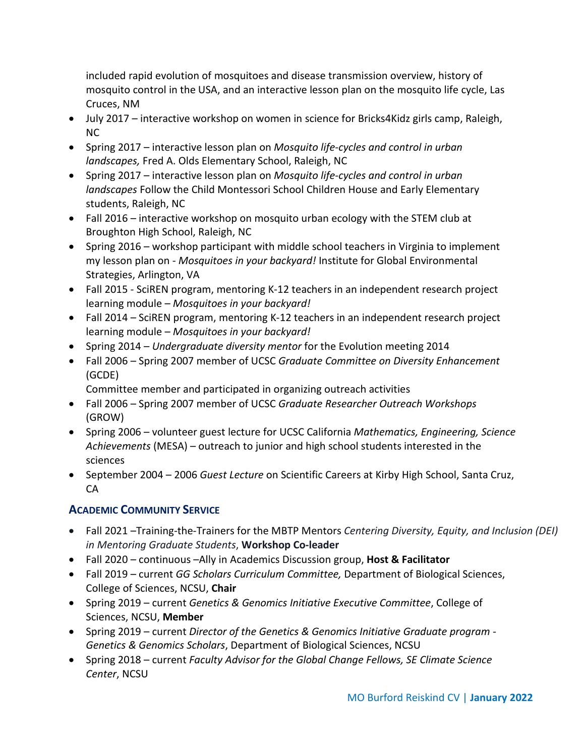included rapid evolution of mosquitoes and disease transmission overview, history of mosquito control in the USA, and an interactive lesson plan on the mosquito life cycle, Las Cruces, NM

- July 2017 interactive workshop on women in science for Bricks4Kidz girls camp, Raleigh, NC
- Spring 2017 interactive lesson plan on *Mosquito life-cycles and control in urban landscapes,* Fred A. Olds Elementary School, Raleigh, NC
- Spring 2017 interactive lesson plan on *Mosquito life-cycles and control in urban landscapes* Follow the Child Montessori School Children House and Early Elementary students, Raleigh, NC
- Fall 2016 interactive workshop on mosquito urban ecology with the STEM club at Broughton High School, Raleigh, NC
- Spring 2016 workshop participant with middle school teachers in Virginia to implement my lesson plan on - *Mosquitoes in your backyard!* Institute for Global Environmental Strategies, Arlington, VA
- Fall 2015 SciREN program, mentoring K-12 teachers in an independent research project learning module – *Mosquitoes in your backyard!*
- Fall 2014 SciREN program, mentoring K-12 teachers in an independent research project learning module – *Mosquitoes in your backyard!*
- Spring 2014 *Undergraduate diversity mentor* for the Evolution meeting 2014
- Fall 2006 Spring 2007 member of UCSC *Graduate Committee on Diversity Enhancement* (GCDE)

Committee member and participated in organizing outreach activities

- Fall 2006 Spring 2007 member of UCSC *Graduate Researcher Outreach Workshops* (GROW)
- Spring 2006 volunteer guest lecture for UCSC California *Mathematics, Engineering, Science Achievements* (MESA) – outreach to junior and high school students interested in the sciences
- September 2004 2006 *Guest Lecture* on Scientific Careers at Kirby High School, Santa Cruz, CA

## **ACADEMIC COMMUNITY SERVICE**

- Fall 2021 –Training-the-Trainers for the MBTP Mentors *Centering Diversity, Equity, and Inclusion (DEI) in Mentoring Graduate Students*, **Workshop Co-leader**
- Fall 2020 continuous –Ally in Academics Discussion group, **Host & Facilitator**
- Fall 2019 current *GG Scholars Curriculum Committee,* Department of Biological Sciences, College of Sciences, NCSU, **Chair**
- Spring 2019 current *Genetics & Genomics Initiative Executive Committee*, College of Sciences, NCSU, **Member**
- Spring 2019 current *Director of the Genetics & Genomics Initiative Graduate program - Genetics & Genomics Scholars*, Department of Biological Sciences, NCSU
- Spring 2018 current *Faculty Advisor for the Global Change Fellows, SE Climate Science Center*, NCSU